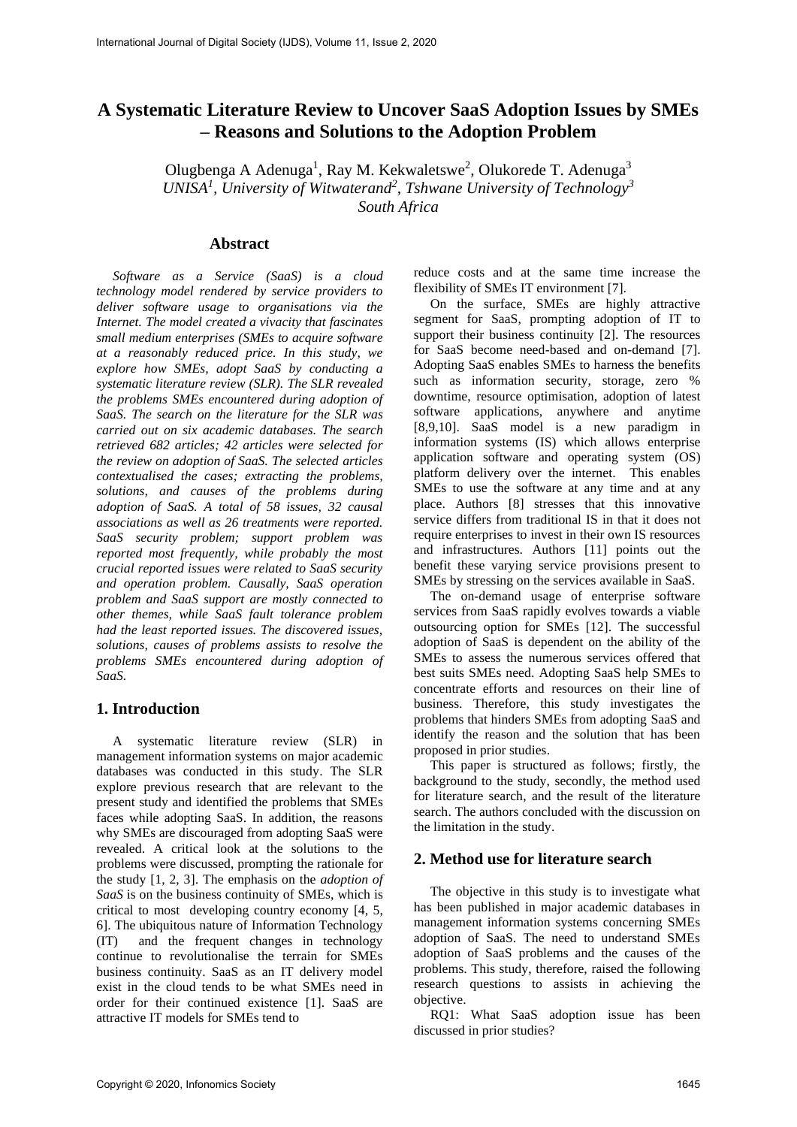# **A Systematic Literature Review to Uncover SaaS Adoption Issues by SMEs – Reasons and Solutions to the Adoption Problem**

Olugbenga A Adenuga<sup>1</sup>, Ray M. Kekwaletswe<sup>2</sup>, Olukorede T. Adenuga<sup>3</sup> *UNISA<sup>1</sup> , University of Witwaterand<sup>2</sup> , Tshwane University of Technology<sup>3</sup> South Africa*

# **Abstract**

*Software as a Service (SaaS) is a cloud technology model rendered by service providers to deliver software usage to organisations via the Internet. The model created a vivacity that fascinates small medium enterprises (SMEs to acquire software at a reasonably reduced price. In this study, we explore how SMEs, adopt SaaS by conducting a systematic literature review (SLR). The SLR revealed the problems SMEs encountered during adoption of SaaS. The search on the literature for the SLR was carried out on six academic databases. The search retrieved 682 articles; 42 articles were selected for the review on adoption of SaaS. The selected articles contextualised the cases; extracting the problems, solutions, and causes of the problems during adoption of SaaS. A total of 58 issues, 32 causal associations as well as 26 treatments were reported. SaaS security problem; support problem was reported most frequently, while probably the most crucial reported issues were related to SaaS security and operation problem. Causally, SaaS operation problem and SaaS support are mostly connected to other themes, while SaaS fault tolerance problem had the least reported issues. The discovered issues, solutions, causes of problems assists to resolve the problems SMEs encountered during adoption of SaaS.*

#### **1. Introduction**

A systematic literature review (SLR) in management information systems on major academic databases was conducted in this study. The SLR explore previous research that are relevant to the present study and identified the problems that SMEs faces while adopting SaaS. In addition, the reasons why SMEs are discouraged from adopting SaaS were revealed. A critical look at the solutions to the problems were discussed, prompting the rationale for the study [1, 2, 3]. The emphasis on the *adoption of SaaS* is on the business continuity of SMEs, which is critical to most developing country economy [4, 5, 6]. The ubiquitous nature of Information Technology (IT) and the frequent changes in technology continue to revolutionalise the terrain for SMEs business continuity. SaaS as an IT delivery model exist in the cloud tends to be what SMEs need in order for their continued existence [1]. SaaS are attractive IT models for SMEs tend to

reduce costs and at the same time increase the flexibility of SMEs IT environment [7].

On the surface, SMEs are highly attractive segment for SaaS, prompting adoption of IT to support their business continuity [2]. The resources for SaaS become need-based and on-demand [7]. Adopting SaaS enables SMEs to harness the benefits such as information security, storage, zero % downtime, resource optimisation, adoption of latest software applications, anywhere and anytime [8,9,10]. SaaS model is a new paradigm in information systems (IS) which allows enterprise application software and operating system (OS) platform delivery over the internet. This enables SMEs to use the software at any time and at any place. Authors [8] stresses that this innovative service differs from traditional IS in that it does not require enterprises to invest in their own IS resources and infrastructures. Authors [11] points out the benefit these varying service provisions present to SMEs by stressing on the services available in SaaS.

The on-demand usage of enterprise software services from SaaS rapidly evolves towards a viable outsourcing option for SMEs [12]. The successful adoption of SaaS is dependent on the ability of the SMEs to assess the numerous services offered that best suits SMEs need. Adopting SaaS help SMEs to concentrate efforts and resources on their line of business. Therefore, this study investigates the problems that hinders SMEs from adopting SaaS and identify the reason and the solution that has been proposed in prior studies.

This paper is structured as follows; firstly, the background to the study, secondly, the method used for literature search, and the result of the literature search. The authors concluded with the discussion on the limitation in the study.

#### **2. Method use for literature search**

The objective in this study is to investigate what has been published in major academic databases in management information systems concerning SMEs adoption of SaaS. The need to understand SMEs adoption of SaaS problems and the causes of the problems. This study, therefore, raised the following research questions to assists in achieving the objective.

RQ1: What SaaS adoption issue has been discussed in prior studies?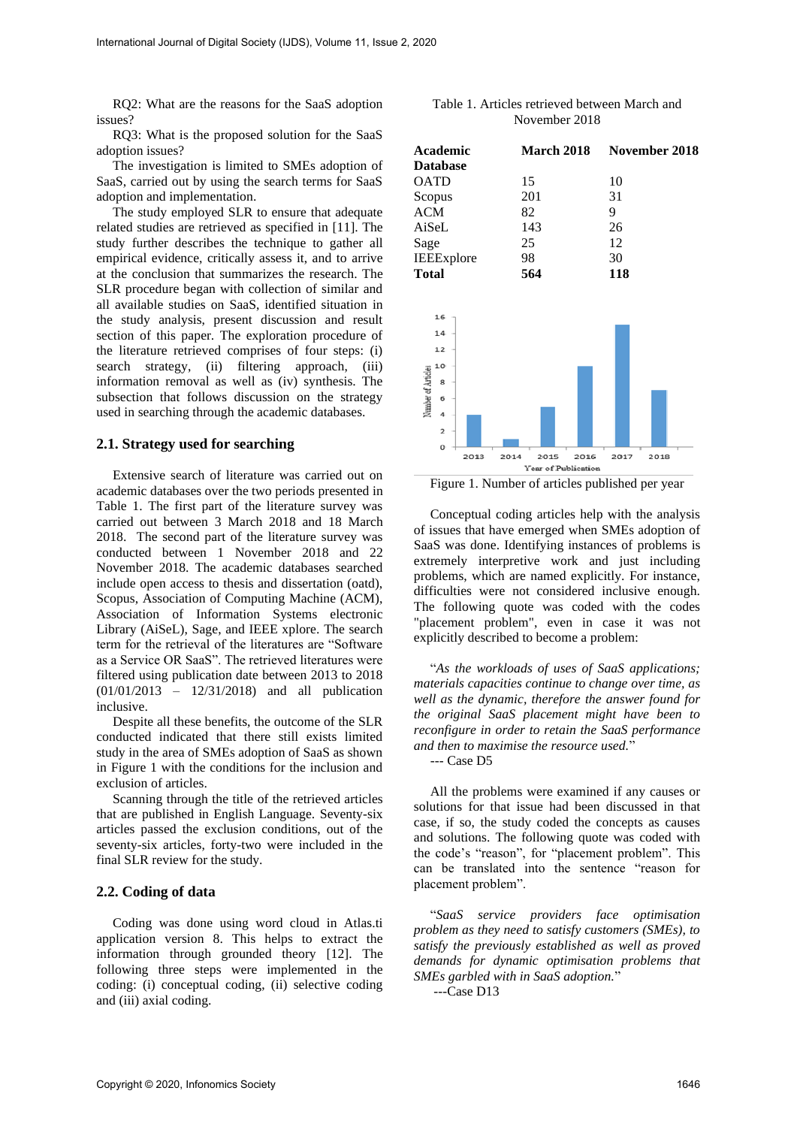RQ2: What are the reasons for the SaaS adoption issues?

RQ3: What is the proposed solution for the SaaS adoption issues?

The investigation is limited to SMEs adoption of SaaS, carried out by using the search terms for SaaS adoption and implementation.

The study employed SLR to ensure that adequate related studies are retrieved as specified in [11]. The study further describes the technique to gather all empirical evidence, critically assess it, and to arrive at the conclusion that summarizes the research. The SLR procedure began with collection of similar and all available studies on SaaS, identified situation in the study analysis, present discussion and result section of this paper. The exploration procedure of the literature retrieved comprises of four steps: (i) search strategy, (ii) filtering approach, (iii) information removal as well as (iv) synthesis. The subsection that follows discussion on the strategy used in searching through the academic databases.

#### **2.1. Strategy used for searching**

Extensive search of literature was carried out on academic databases over the two periods presented in Table 1. The first part of the literature survey was carried out between 3 March 2018 and 18 March 2018. The second part of the literature survey was conducted between 1 November 2018 and 22 November 2018. The academic databases searched include open access to thesis and dissertation (oatd), Scopus, Association of Computing Machine (ACM), Association of Information Systems electronic Library (AiSeL), Sage, and IEEE xplore. The search term for the retrieval of the literatures are "Software as a Service OR SaaS". The retrieved literatures were filtered using publication date between 2013 to 2018 (01/01/2013 – 12/31/2018) and all publication inclusive.

Despite all these benefits, the outcome of the SLR conducted indicated that there still exists limited study in the area of SMEs adoption of SaaS as shown in Figure 1 with the conditions for the inclusion and exclusion of articles.

Scanning through the title of the retrieved articles that are published in English Language. Seventy-six articles passed the exclusion conditions, out of the seventy-six articles, forty-two were included in the final SLR review for the study.

# **2.2. Coding of data**

Coding was done using word cloud in Atlas.ti application version 8. This helps to extract the information through grounded theory [12]. The following three steps were implemented in the coding: (i) conceptual coding, (ii) selective coding and (iii) axial coding.

| Table 1. Articles retrieved between March and |
|-----------------------------------------------|
| November 2018                                 |

| <b>Academic</b>         |      |      | <b>March 2018</b>   |      | November 2018 |      |  |
|-------------------------|------|------|---------------------|------|---------------|------|--|
| <b>Database</b>         |      |      |                     |      |               |      |  |
| <b>OATD</b>             |      | 15   |                     |      | 10            |      |  |
| Scopus                  |      |      | 201                 |      |               |      |  |
| <b>ACM</b>              |      |      | 82                  |      |               |      |  |
| AiSeL                   |      | 143  |                     |      | 26            |      |  |
| Sage                    |      | 25   |                     |      | 12            |      |  |
| IEEExplore              |      | 98   |                     |      | 30            |      |  |
| <b>Total</b>            |      | 564  |                     |      | 118           |      |  |
|                         |      |      |                     |      |               |      |  |
|                         |      |      |                     |      |               |      |  |
| 16                      |      |      |                     |      |               |      |  |
| 14                      |      |      |                     |      |               |      |  |
| 12                      |      |      |                     |      |               |      |  |
| 10                      |      |      |                     |      |               |      |  |
| 8                       |      |      |                     |      |               |      |  |
| Number of Articles<br>6 |      |      |                     |      |               |      |  |
| 4                       |      |      |                     |      |               |      |  |
| $\overline{\mathbf{z}}$ |      |      |                     |      |               |      |  |
| o                       |      |      |                     |      |               |      |  |
|                         | 2013 | 2014 | 2015                | 2016 | 2017          | 2018 |  |
|                         |      |      | Year of Publication |      |               |      |  |

Figure 1. Number of articles published per year

Conceptual coding articles help with the analysis of issues that have emerged when SMEs adoption of SaaS was done. Identifying instances of problems is extremely interpretive work and just including problems, which are named explicitly. For instance, difficulties were not considered inclusive enough. The following quote was coded with the codes "placement problem", even in case it was not explicitly described to become a problem:

"*As the workloads of uses of SaaS applications; materials capacities continue to change over time, as well as the dynamic, therefore the answer found for the original SaaS placement might have been to reconfigure in order to retain the SaaS performance and then to maximise the resource used.*" --- Case D5

All the problems were examined if any causes or solutions for that issue had been discussed in that case, if so, the study coded the concepts as causes and solutions. The following quote was coded with the code's "reason", for "placement problem". This can be translated into the sentence "reason for placement problem".

"*SaaS service providers face optimisation problem as they need to satisfy customers (SMEs), to satisfy the previously established as well as proved demands for dynamic optimisation problems that SMEs garbled with in SaaS adoption.*"

---Case D13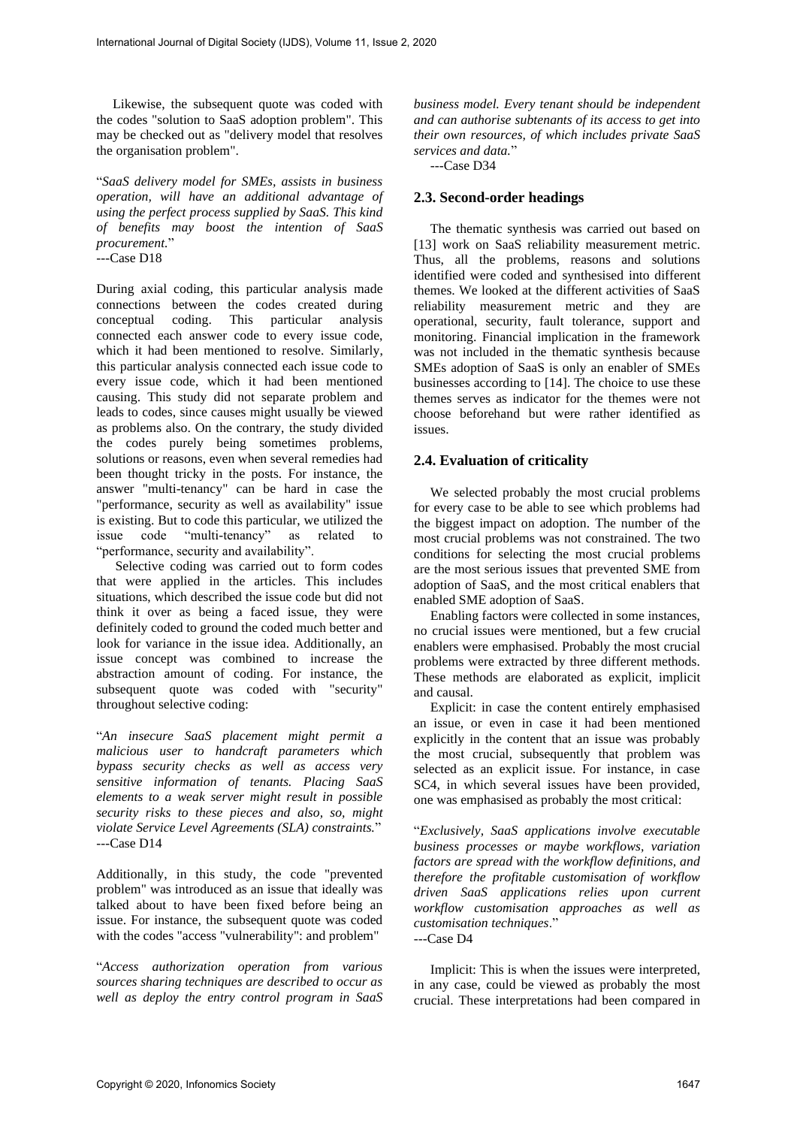Likewise, the subsequent quote was coded with the codes "solution to SaaS adoption problem". This may be checked out as "delivery model that resolves the organisation problem".

"*SaaS delivery model for SMEs, assists in business operation, will have an additional advantage of using the perfect process supplied by SaaS. This kind of benefits may boost the intention of SaaS procurement.*"

---Case D18

During axial coding, this particular analysis made connections between the codes created during conceptual coding. This particular analysis connected each answer code to every issue code, which it had been mentioned to resolve. Similarly, this particular analysis connected each issue code to every issue code, which it had been mentioned causing. This study did not separate problem and leads to codes, since causes might usually be viewed as problems also. On the contrary, the study divided the codes purely being sometimes problems, solutions or reasons, even when several remedies had been thought tricky in the posts. For instance, the answer "multi-tenancy" can be hard in case the "performance, security as well as availability" issue is existing. But to code this particular, we utilized the issue code "multi-tenancy" as related to "performance, security and availability".

Selective coding was carried out to form codes that were applied in the articles. This includes situations, which described the issue code but did not think it over as being a faced issue, they were definitely coded to ground the coded much better and look for variance in the issue idea. Additionally, an issue concept was combined to increase the abstraction amount of coding. For instance, the subsequent quote was coded with "security" throughout selective coding:

"*An insecure SaaS placement might permit a malicious user to handcraft parameters which bypass security checks as well as access very sensitive information of tenants. Placing SaaS elements to a weak server might result in possible security risks to these pieces and also, so, might violate Service Level Agreements (SLA) constraints.*" ---Case D14

Additionally, in this study, the code "prevented problem" was introduced as an issue that ideally was talked about to have been fixed before being an issue. For instance, the subsequent quote was coded with the codes "access "vulnerability": and problem"

"*Access authorization operation from various sources sharing techniques are described to occur as well as deploy the entry control program in SaaS*  *business model. Every tenant should be independent and can authorise subtenants of its access to get into their own resources, of which includes private SaaS services and data.*"

---Case D34

#### **2.3. Second-order headings**

The thematic synthesis was carried out based on [13] work on SaaS reliability measurement metric. Thus, all the problems, reasons and solutions identified were coded and synthesised into different themes. We looked at the different activities of SaaS reliability measurement metric and they are operational, security, fault tolerance, support and monitoring. Financial implication in the framework was not included in the thematic synthesis because SMEs adoption of SaaS is only an enabler of SMEs businesses according to [14]. The choice to use these themes serves as indicator for the themes were not choose beforehand but were rather identified as issues.

#### **2.4. Evaluation of criticality**

We selected probably the most crucial problems for every case to be able to see which problems had the biggest impact on adoption. The number of the most crucial problems was not constrained. The two conditions for selecting the most crucial problems are the most serious issues that prevented SME from adoption of SaaS, and the most critical enablers that enabled SME adoption of SaaS.

Enabling factors were collected in some instances, no crucial issues were mentioned, but a few crucial enablers were emphasised. Probably the most crucial problems were extracted by three different methods. These methods are elaborated as explicit, implicit and causal.

Explicit: in case the content entirely emphasised an issue, or even in case it had been mentioned explicitly in the content that an issue was probably the most crucial, subsequently that problem was selected as an explicit issue. For instance, in case SC4, in which several issues have been provided, one was emphasised as probably the most critical:

"*Exclusively, SaaS applications involve executable business processes or maybe workflows, variation factors are spread with the workflow definitions, and therefore the profitable customisation of workflow driven SaaS applications relies upon current workflow customisation approaches as well as customisation techniques*." ---Case D4

Implicit: This is when the issues were interpreted, in any case, could be viewed as probably the most crucial. These interpretations had been compared in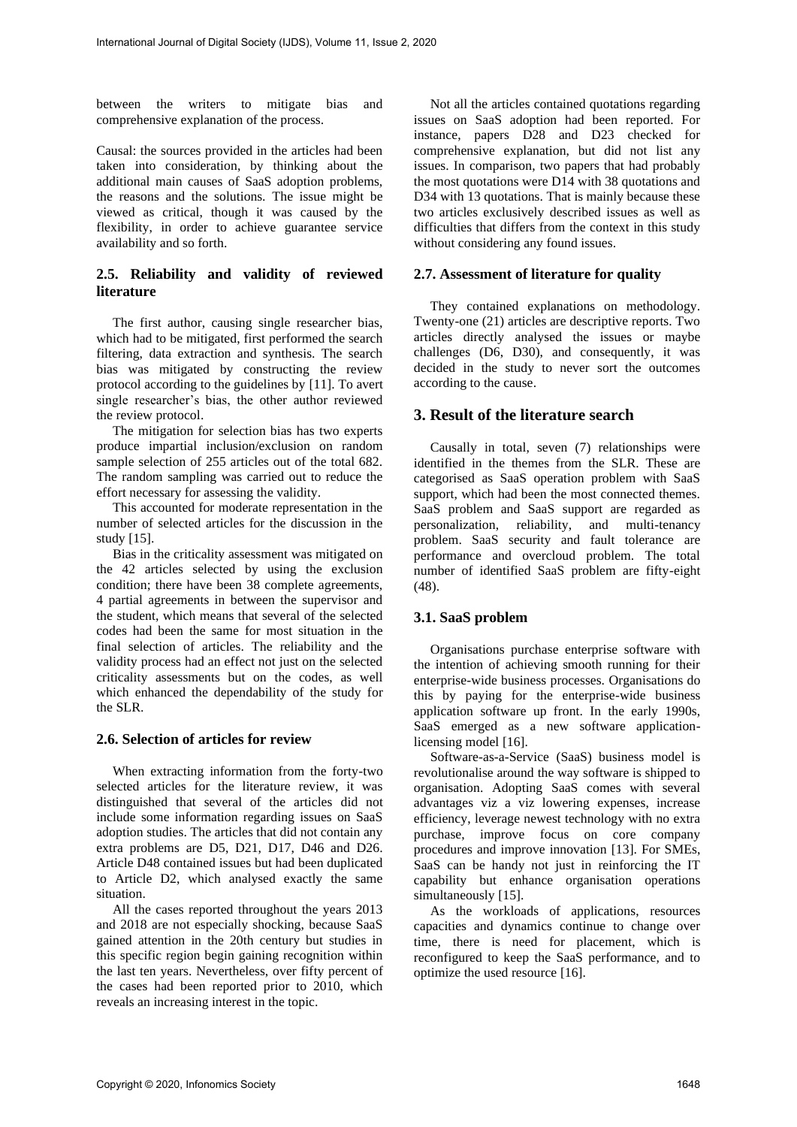between the writers to mitigate bias and comprehensive explanation of the process.

Causal: the sources provided in the articles had been taken into consideration, by thinking about the additional main causes of SaaS adoption problems, the reasons and the solutions. The issue might be viewed as critical, though it was caused by the flexibility, in order to achieve guarantee service availability and so forth.

# **2.5. Reliability and validity of reviewed literature**

The first author, causing single researcher bias, which had to be mitigated, first performed the search filtering, data extraction and synthesis. The search bias was mitigated by constructing the review protocol according to the guidelines by [11]. To avert single researcher's bias, the other author reviewed the review protocol.

The mitigation for selection bias has two experts produce impartial inclusion/exclusion on random sample selection of 255 articles out of the total 682. The random sampling was carried out to reduce the effort necessary for assessing the validity.

This accounted for moderate representation in the number of selected articles for the discussion in the study [15].

Bias in the criticality assessment was mitigated on the 42 articles selected by using the exclusion condition; there have been 38 complete agreements, 4 partial agreements in between the supervisor and the student, which means that several of the selected codes had been the same for most situation in the final selection of articles. The reliability and the validity process had an effect not just on the selected criticality assessments but on the codes, as well which enhanced the dependability of the study for the SLR.

#### **2.6. Selection of articles for review**

When extracting information from the forty-two selected articles for the literature review, it was distinguished that several of the articles did not include some information regarding issues on SaaS adoption studies. The articles that did not contain any extra problems are D5, D21, D17, D46 and D26. Article D48 contained issues but had been duplicated to Article D2, which analysed exactly the same situation.

All the cases reported throughout the years 2013 and 2018 are not especially shocking, because SaaS gained attention in the 20th century but studies in this specific region begin gaining recognition within the last ten years. Nevertheless, over fifty percent of the cases had been reported prior to 2010, which reveals an increasing interest in the topic.

Not all the articles contained quotations regarding issues on SaaS adoption had been reported. For instance, papers D28 and D23 checked for comprehensive explanation, but did not list any issues. In comparison, two papers that had probably the most quotations were D14 with 38 quotations and D34 with 13 quotations. That is mainly because these two articles exclusively described issues as well as difficulties that differs from the context in this study without considering any found issues.

#### **2.7. Assessment of literature for quality**

They contained explanations on methodology. Twenty-one (21) articles are descriptive reports. Two articles directly analysed the issues or maybe challenges (D6, D30), and consequently, it was decided in the study to never sort the outcomes according to the cause.

# **3. Result of the literature search**

Causally in total, seven (7) relationships were identified in the themes from the SLR. These are categorised as SaaS operation problem with SaaS support, which had been the most connected themes. SaaS problem and SaaS support are regarded as personalization, reliability, and multi-tenancy problem. SaaS security and fault tolerance are performance and overcloud problem. The total number of identified SaaS problem are fifty-eight (48).

# **3.1. SaaS problem**

Organisations purchase enterprise software with the intention of achieving smooth running for their enterprise-wide business processes. Organisations do this by paying for the enterprise-wide business application software up front. In the early 1990s, SaaS emerged as a new software applicationlicensing model [16].

Software-as-a-Service (SaaS) business model is revolutionalise around the way software is shipped to organisation. Adopting SaaS comes with several advantages viz a viz lowering expenses, increase efficiency, leverage newest technology with no extra purchase, improve focus on core company procedures and improve innovation [13]. For SMEs, SaaS can be handy not just in reinforcing the IT capability but enhance organisation operations simultaneously [15].

As the workloads of applications, resources capacities and dynamics continue to change over time, there is need for placement, which is reconfigured to keep the SaaS performance, and to optimize the used resource [16].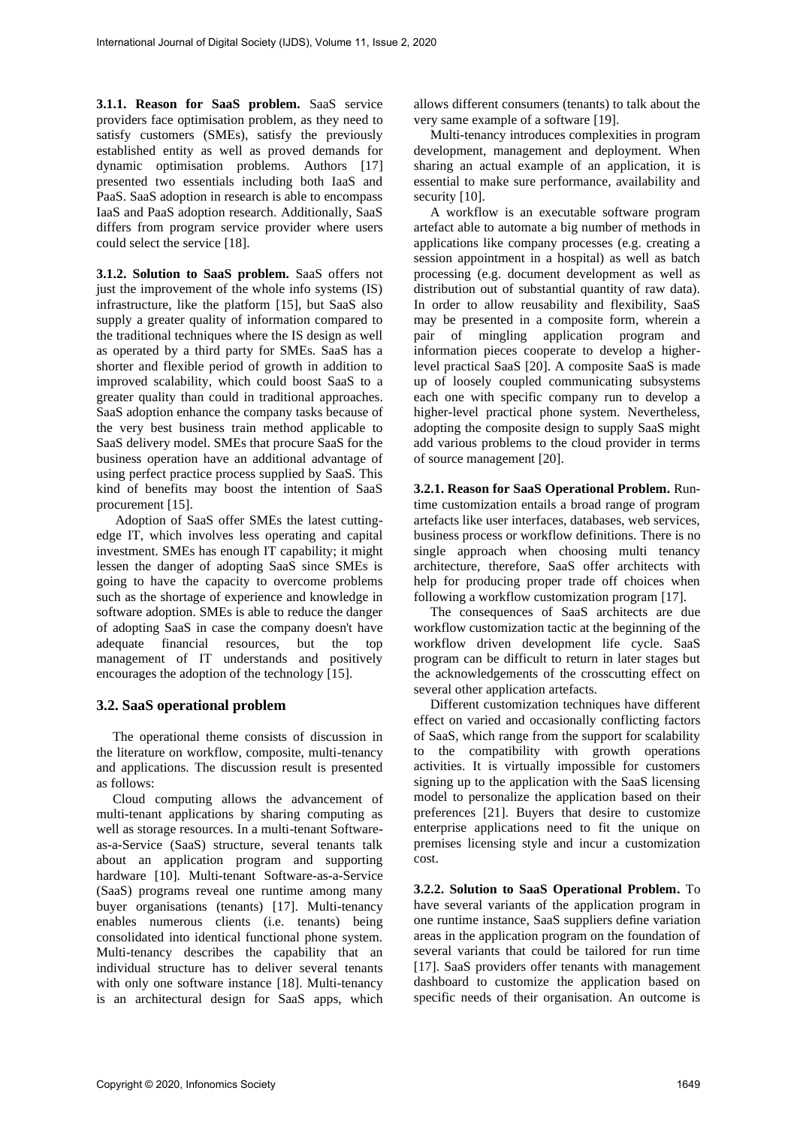**3.1.1. Reason for SaaS problem.** SaaS service providers face optimisation problem, as they need to satisfy customers (SMEs), satisfy the previously established entity as well as proved demands for dynamic optimisation problems. Authors [17] presented two essentials including both IaaS and PaaS. SaaS adoption in research is able to encompass IaaS and PaaS adoption research. Additionally, SaaS differs from program service provider where users could select the service [18].

**3.1.2. Solution to SaaS problem.** SaaS offers not just the improvement of the whole info systems (IS) infrastructure, like the platform [15], but SaaS also supply a greater quality of information compared to the traditional techniques where the IS design as well as operated by a third party for SMEs. SaaS has a shorter and flexible period of growth in addition to improved scalability, which could boost SaaS to a greater quality than could in traditional approaches. SaaS adoption enhance the company tasks because of the very best business train method applicable to SaaS delivery model. SMEs that procure SaaS for the business operation have an additional advantage of using perfect practice process supplied by SaaS. This kind of benefits may boost the intention of SaaS procurement [15].

Adoption of SaaS offer SMEs the latest cuttingedge IT, which involves less operating and capital investment. SMEs has enough IT capability; it might lessen the danger of adopting SaaS since SMEs is going to have the capacity to overcome problems such as the shortage of experience and knowledge in software adoption. SMEs is able to reduce the danger of adopting SaaS in case the company doesn't have adequate financial resources, but the top management of IT understands and positively encourages the adoption of the technology [15].

# **3.2. SaaS operational problem**

The operational theme consists of discussion in the literature on workflow, composite, multi-tenancy and applications. The discussion result is presented as follows:

Cloud computing allows the advancement of multi-tenant applications by sharing computing as well as storage resources. In a multi-tenant Softwareas-a-Service (SaaS) structure, several tenants talk about an application program and supporting hardware [10]. Multi-tenant Software-as-a-Service (SaaS) programs reveal one runtime among many buyer organisations (tenants) [17]. Multi-tenancy enables numerous clients (i.e. tenants) being consolidated into identical functional phone system. Multi-tenancy describes the capability that an individual structure has to deliver several tenants with only one software instance [18]. Multi-tenancy is an architectural design for SaaS apps, which

allows different consumers (tenants) to talk about the very same example of a software [19].

Multi-tenancy introduces complexities in program development, management and deployment. When sharing an actual example of an application, it is essential to make sure performance, availability and security [10].

A workflow is an executable software program artefact able to automate a big number of methods in applications like company processes (e.g. creating a session appointment in a hospital) as well as batch processing (e.g. document development as well as distribution out of substantial quantity of raw data). In order to allow reusability and flexibility, SaaS may be presented in a composite form, wherein a pair of mingling application program and information pieces cooperate to develop a higherlevel practical SaaS [20]. A composite SaaS is made up of loosely coupled communicating subsystems each one with specific company run to develop a higher-level practical phone system. Nevertheless, adopting the composite design to supply SaaS might add various problems to the cloud provider in terms of source management [20].

**3.2.1. Reason for SaaS Operational Problem.** Runtime customization entails a broad range of program artefacts like user interfaces, databases, web services, business process or workflow definitions. There is no single approach when choosing multi tenancy architecture, therefore, SaaS offer architects with help for producing proper trade off choices when following a workflow customization program [17].

The consequences of SaaS architects are due workflow customization tactic at the beginning of the workflow driven development life cycle. SaaS program can be difficult to return in later stages but the acknowledgements of the crosscutting effect on several other application artefacts.

Different customization techniques have different effect on varied and occasionally conflicting factors of SaaS, which range from the support for scalability to the compatibility with growth operations activities. It is virtually impossible for customers signing up to the application with the SaaS licensing model to personalize the application based on their preferences [21]. Buyers that desire to customize enterprise applications need to fit the unique on premises licensing style and incur a customization cost.

**3.2.2. Solution to SaaS Operational Problem.** To have several variants of the application program in one runtime instance, SaaS suppliers define variation areas in the application program on the foundation of several variants that could be tailored for run time [17]. SaaS providers offer tenants with management dashboard to customize the application based on specific needs of their organisation. An outcome is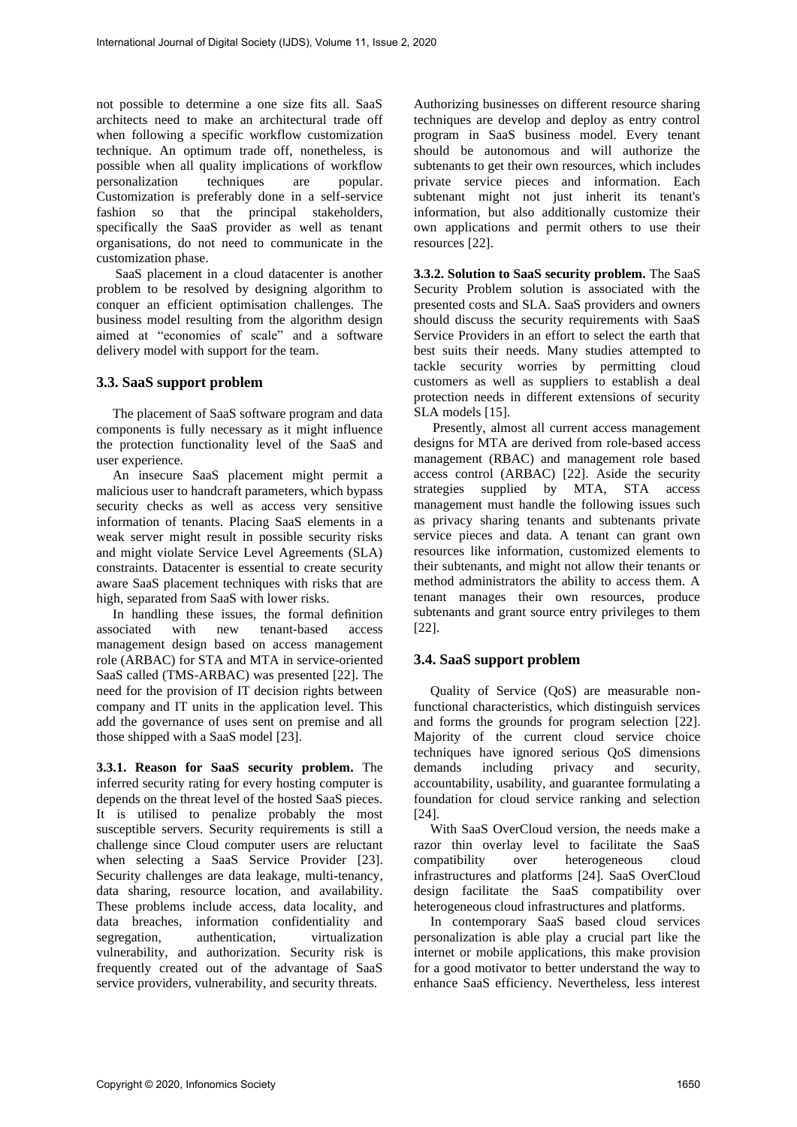not possible to determine a one size fits all. SaaS architects need to make an architectural trade off when following a specific workflow customization technique. An optimum trade off, nonetheless, is possible when all quality implications of workflow<br>personalization techniques are popular. personalization techniques are Customization is preferably done in a self-service fashion so that the principal stakeholders, specifically the SaaS provider as well as tenant organisations, do not need to communicate in the customization phase.

SaaS placement in a cloud datacenter is another problem to be resolved by designing algorithm to conquer an efficient optimisation challenges. The business model resulting from the algorithm design aimed at "economies of scale" and a software delivery model with support for the team.

# **3.3. SaaS support problem**

The placement of SaaS software program and data components is fully necessary as it might influence the protection functionality level of the SaaS and user experience.

An insecure SaaS placement might permit a malicious user to handcraft parameters, which bypass security checks as well as access very sensitive information of tenants. Placing SaaS elements in a weak server might result in possible security risks and might violate Service Level Agreements (SLA) constraints. Datacenter is essential to create security aware SaaS placement techniques with risks that are high, separated from SaaS with lower risks.

In handling these issues, the formal definition associated with new tenant-based access management design based on access management role (ARBAC) for STA and MTA in service-oriented SaaS called (TMS-ARBAC) was presented [22]. The need for the provision of IT decision rights between company and IT units in the application level. This add the governance of uses sent on premise and all those shipped with a SaaS model [23].

**3.3.1. Reason for SaaS security problem.** The inferred security rating for every hosting computer is depends on the threat level of the hosted SaaS pieces. It is utilised to penalize probably the most susceptible servers. Security requirements is still a challenge since Cloud computer users are reluctant when selecting a SaaS Service Provider [23]. Security challenges are data leakage, multi-tenancy, data sharing, resource location, and availability. These problems include access, data locality, and data breaches, information confidentiality and segregation, authentication, virtualization vulnerability, and authorization. Security risk is frequently created out of the advantage of SaaS service providers, vulnerability, and security threats.

Authorizing businesses on different resource sharing techniques are develop and deploy as entry control program in SaaS business model. Every tenant should be autonomous and will authorize the subtenants to get their own resources, which includes private service pieces and information. Each subtenant might not just inherit its tenant's information, but also additionally customize their own applications and permit others to use their resources [22].

**3.3.2. Solution to SaaS security problem.** The SaaS Security Problem solution is associated with the presented costs and SLA. SaaS providers and owners should discuss the security requirements with SaaS Service Providers in an effort to select the earth that best suits their needs. Many studies attempted to tackle security worries by permitting cloud customers as well as suppliers to establish a deal protection needs in different extensions of security SLA models [15].

Presently, almost all current access management designs for MTA are derived from role-based access management (RBAC) and management role based access control (ARBAC) [22]. Aside the security strategies supplied by MTA, STA access management must handle the following issues such as privacy sharing tenants and subtenants private service pieces and data. A tenant can grant own resources like information, customized elements to their subtenants, and might not allow their tenants or method administrators the ability to access them. A tenant manages their own resources, produce subtenants and grant source entry privileges to them [22].

# **3.4. SaaS support problem**

Quality of Service (QoS) are measurable nonfunctional characteristics, which distinguish services and forms the grounds for program selection [22]. Majority of the current cloud service choice techniques have ignored serious QoS dimensions demands including privacy and security, accountability, usability, and guarantee formulating a foundation for cloud service ranking and selection [24].

With SaaS OverCloud version, the needs make a razor thin overlay level to facilitate the SaaS compatibility over heterogeneous cloud infrastructures and platforms [24]. SaaS OverCloud design facilitate the SaaS compatibility over heterogeneous cloud infrastructures and platforms.

In contemporary SaaS based cloud services personalization is able play a crucial part like the internet or mobile applications, this make provision for a good motivator to better understand the way to enhance SaaS efficiency. Nevertheless, less interest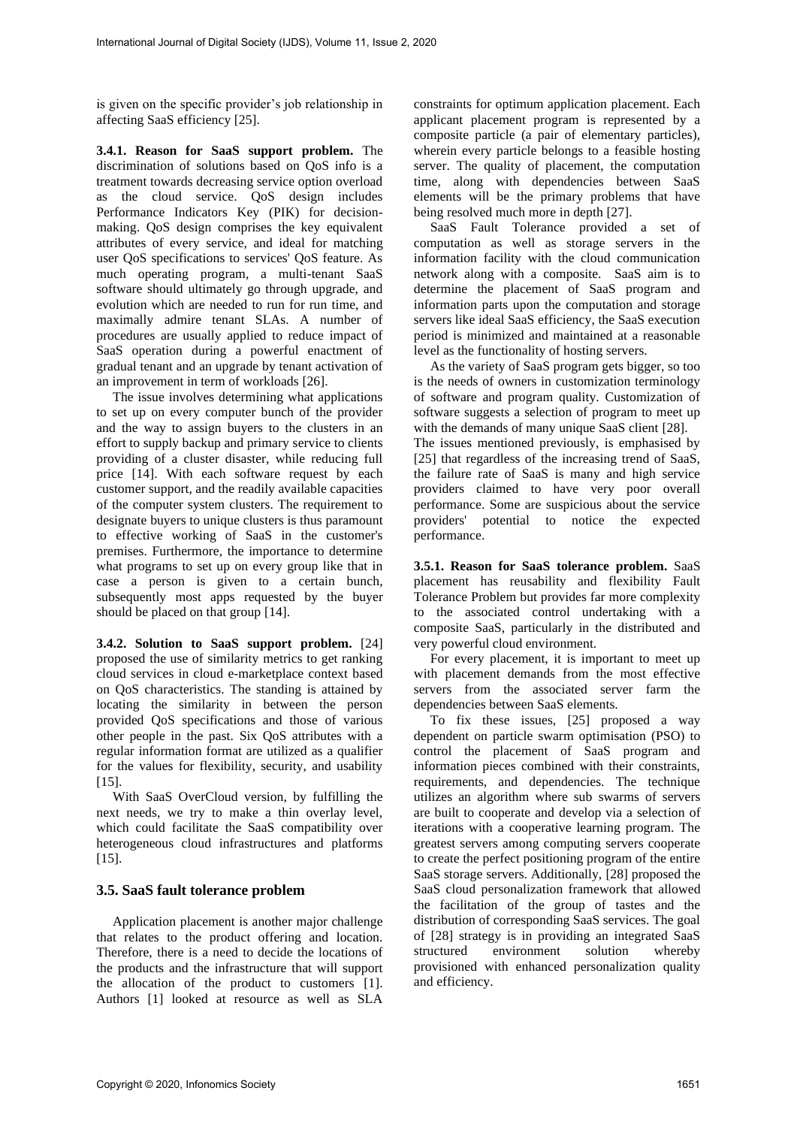is given on the specific provider's job relationship in affecting SaaS efficiency [25].

**3.4.1. Reason for SaaS support problem.** The discrimination of solutions based on QoS info is a treatment towards decreasing service option overload as the cloud service. QoS design includes Performance Indicators Key (PIK) for decisionmaking. QoS design comprises the key equivalent attributes of every service, and ideal for matching user QoS specifications to services' QoS feature. As much operating program, a multi-tenant SaaS software should ultimately go through upgrade, and evolution which are needed to run for run time, and maximally admire tenant SLAs. A number of procedures are usually applied to reduce impact of SaaS operation during a powerful enactment of gradual tenant and an upgrade by tenant activation of an improvement in term of workloads [26].

The issue involves determining what applications to set up on every computer bunch of the provider and the way to assign buyers to the clusters in an effort to supply backup and primary service to clients providing of a cluster disaster, while reducing full price [14]. With each software request by each customer support, and the readily available capacities of the computer system clusters. The requirement to designate buyers to unique clusters is thus paramount to effective working of SaaS in the customer's premises. Furthermore, the importance to determine what programs to set up on every group like that in case a person is given to a certain bunch, subsequently most apps requested by the buyer should be placed on that group [14].

**3.4.2. Solution to SaaS support problem.** [24] proposed the use of similarity metrics to get ranking cloud services in cloud e-marketplace context based on QoS characteristics. The standing is attained by locating the similarity in between the person provided QoS specifications and those of various other people in the past. Six QoS attributes with a regular information format are utilized as a qualifier for the values for flexibility, security, and usability [15].

With SaaS OverCloud version, by fulfilling the next needs, we try to make a thin overlay level, which could facilitate the SaaS compatibility over heterogeneous cloud infrastructures and platforms [15].

# **3.5. SaaS fault tolerance problem**

Application placement is another major challenge that relates to the product offering and location. Therefore, there is a need to decide the locations of the products and the infrastructure that will support the allocation of the product to customers [1]. Authors [1] looked at resource as well as SLA

constraints for optimum application placement. Each applicant placement program is represented by a composite particle (a pair of elementary particles), wherein every particle belongs to a feasible hosting server. The quality of placement, the computation time, along with dependencies between SaaS elements will be the primary problems that have being resolved much more in depth [27].

SaaS Fault Tolerance provided a set of computation as well as storage servers in the information facility with the cloud communication network along with a composite. SaaS aim is to determine the placement of SaaS program and information parts upon the computation and storage servers like ideal SaaS efficiency, the SaaS execution period is minimized and maintained at a reasonable level as the functionality of hosting servers.

As the variety of SaaS program gets bigger, so too is the needs of owners in customization terminology of software and program quality. Customization of software suggests a selection of program to meet up with the demands of many unique SaaS client [28]. The issues mentioned previously, is emphasised by [25] that regardless of the increasing trend of SaaS, the failure rate of SaaS is many and high service providers claimed to have very poor overall performance. Some are suspicious about the service providers' potential to notice the expected performance.

**3.5.1. Reason for SaaS tolerance problem.** SaaS placement has reusability and flexibility Fault Tolerance Problem but provides far more complexity to the associated control undertaking with a composite SaaS, particularly in the distributed and very powerful cloud environment.

For every placement, it is important to meet up with placement demands from the most effective servers from the associated server farm the dependencies between SaaS elements.

To fix these issues, [25] proposed a way dependent on particle swarm optimisation (PSO) to control the placement of SaaS program and information pieces combined with their constraints, requirements, and dependencies. The technique utilizes an algorithm where sub swarms of servers are built to cooperate and develop via a selection of iterations with a cooperative learning program. The greatest servers among computing servers cooperate to create the perfect positioning program of the entire SaaS storage servers. Additionally, [28] proposed the SaaS cloud personalization framework that allowed the facilitation of the group of tastes and the distribution of corresponding SaaS services. The goal of [28] strategy is in providing an integrated SaaS structured environment solution whereby provisioned with enhanced personalization quality and efficiency.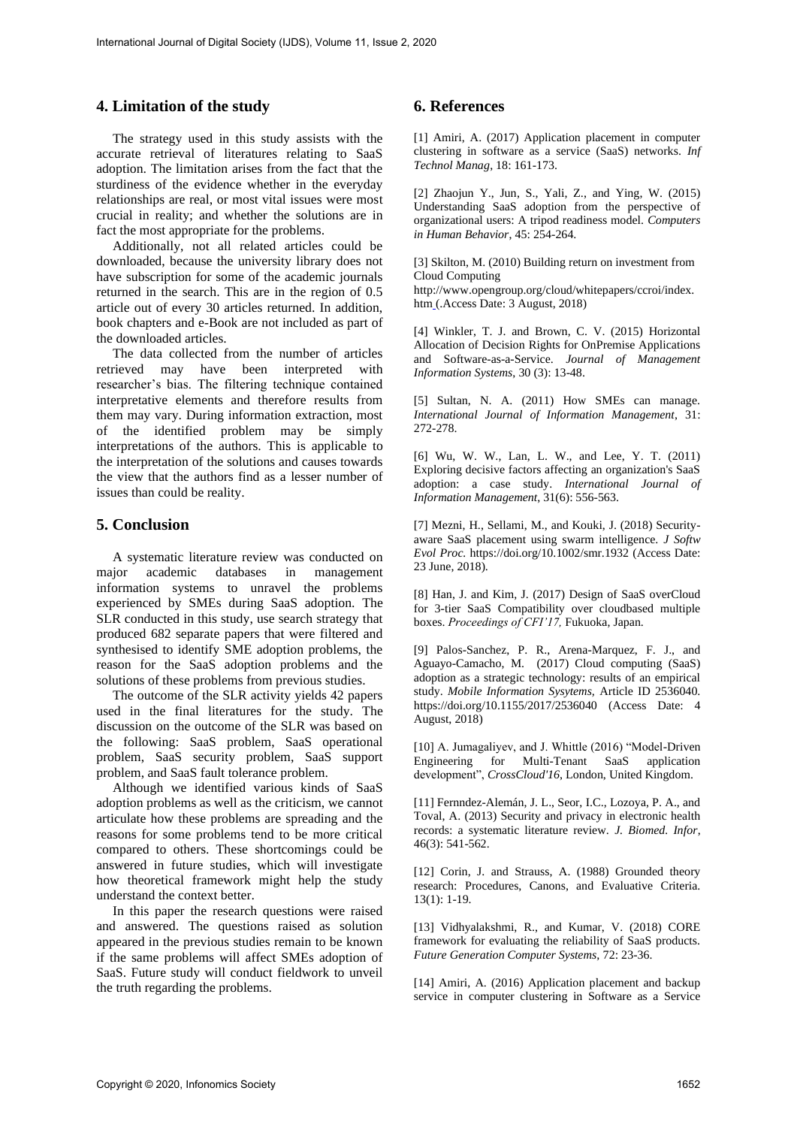## **4. Limitation of the study**

The strategy used in this study assists with the accurate retrieval of literatures relating to SaaS adoption. The limitation arises from the fact that the sturdiness of the evidence whether in the everyday relationships are real, or most vital issues were most crucial in reality; and whether the solutions are in fact the most appropriate for the problems.

Additionally, not all related articles could be downloaded, because the university library does not have subscription for some of the academic journals returned in the search. This are in the region of 0.5 article out of every 30 articles returned. In addition, book chapters and e-Book are not included as part of the downloaded articles.

The data collected from the number of articles retrieved may have been interpreted with researcher's bias. The filtering technique contained interpretative elements and therefore results from them may vary. During information extraction, most of the identified problem may be simply interpretations of the authors. This is applicable to the interpretation of the solutions and causes towards the view that the authors find as a lesser number of issues than could be reality.

#### **5. Conclusion**

A systematic literature review was conducted on major academic databases in management information systems to unravel the problems experienced by SMEs during SaaS adoption. The SLR conducted in this study, use search strategy that produced 682 separate papers that were filtered and synthesised to identify SME adoption problems, the reason for the SaaS adoption problems and the solutions of these problems from previous studies.

The outcome of the SLR activity yields 42 papers used in the final literatures for the study. The discussion on the outcome of the SLR was based on the following: SaaS problem, SaaS operational problem, SaaS security problem, SaaS support problem, and SaaS fault tolerance problem.

Although we identified various kinds of SaaS adoption problems as well as the criticism, we cannot articulate how these problems are spreading and the reasons for some problems tend to be more critical compared to others. These shortcomings could be answered in future studies, which will investigate how theoretical framework might help the study understand the context better.

In this paper the research questions were raised and answered. The questions raised as solution appeared in the previous studies remain to be known if the same problems will affect SMEs adoption of SaaS. Future study will conduct fieldwork to unveil the truth regarding the problems.

# **6. References**

[1] Amiri, A. (2017) Application placement in computer clustering in software as a service (SaaS) networks. *Inf Technol Manag*, 18: 161-173.

[2] Zhaojun Y., Jun, S., Yali, Z., and Ying, W. (2015) Understanding SaaS adoption from the perspective of organizational users: A tripod readiness model. *Computers in Human Behavior*, 45: 254-264.

[3] Skilton, M. (2010) Building return on investment from Cloud Computing

[http://www.opengroup.org/cloud/whitepapers/ccroi/index.](http://www.opengroup.org/cloud/whitepapers/ccroi/index.htm) [htm](http://www.opengroup.org/cloud/whitepapers/ccroi/index.htm) (.Access Date: 3 August, 2018)

[4] Winkler, T. J. and Brown, C. V. (2015) Horizontal Allocation of Decision Rights for OnPremise Applications and Software-as-a-Service. *Journal of Management Information Systems*, 30 (3): 13-48.

[5] Sultan, N. A. (2011) How SMEs can manage. *International Journal of Information Management*, 31: 272-278.

[6] Wu, W. W., Lan, L. W., and Lee, Y. T. (2011) Exploring decisive factors affecting an organization's SaaS adoption: a case study. *International Journal of Information Management*, 31(6): 556-563.

[7] Mezni, H., Sellami, M., and Kouki, J. (2018) Securityaware SaaS placement using swarm intelligence. *J Softw Evol Proc.* <https://doi.org/10.1002/smr.1932> (Access Date: 23 June, 2018).

[8] Han, J. and Kim, J. (2017) Design of SaaS overCloud for 3-tier SaaS Compatibility over cloudbased multiple boxes. *Proceedings of CFI'17,* Fukuoka, Japan.

[9] Palos-Sanchez, P. R., Arena-Marquez, F. J., and Aguayo-Camacho, M. (2017) Cloud computing (SaaS) adoption as a strategic technology: results of an empirical study. *Mobile Information Sysytems,* Article ID 2536040. <https://doi.org/10.1155/2017/2536040> (Access Date: 4 August, 2018)

[10] A. Jumagaliyev, and J. Whittle (2016) "Model-Driven Engineering for Multi-Tenant SaaS application development", *CrossCloud'16*, London, United Kingdom.

[11] Fernndez-Alemán, J. L., Seor, I.C., Lozoya, P. A., and Toval, A. (2013) Security and privacy in electronic health records: a systematic literature review. *J. Biomed. Infor*, 46(3): 541-562.

[12] Corin, J. and Strauss, A. (1988) Grounded theory research: Procedures, Canons, and Evaluative Criteria. 13(1): 1-19.

[13] Vidhyalakshmi, R., and Kumar, V. (2018) CORE framework for evaluating the reliability of SaaS products. *Future Generation Computer Systems,* 72: 23-36.

[14] Amiri, A. (2016) Application placement and backup service in computer clustering in Software as a Service